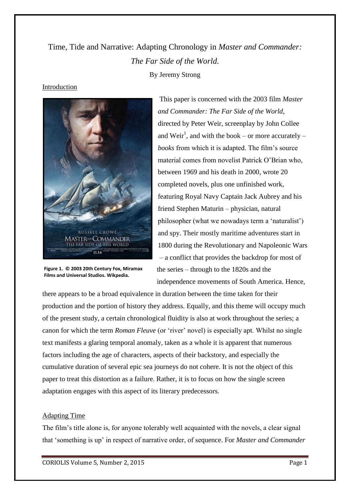# Time, Tide and Narrative: Adapting Chronology in *Master and Commander: The Far Side of the World.* By Jeremy Strong

# Introduction



**Figure 1. © 2003 20th Century Fox, Miramax Films and Universal Studios. Wikpedia.**

This paper is concerned with the 2003 film *Master and Commander: The Far Side of the World*, directed by Peter Weir, screenplay by John Collee and Weir<sup>1</sup>, and with the book – or more accurately – *books* from which it is adapted. The film's source material comes from novelist Patrick O'Brian who, between 1969 and his death in 2000, wrote 20 completed novels, plus one unfinished work, featuring Royal Navy Captain Jack Aubrey and his friend Stephen Maturin – physician, natural philosopher (what we nowadays term a 'naturalist') and spy. Their mostly maritime adventures start in 1800 during the Revolutionary and Napoleonic Wars – a conflict that provides the backdrop for most of the series – through to the 1820s and the independence movements of South America. Hence,

there appears to be a broad equivalence in duration between the time taken for their production and the portion of history they address. Equally, and this theme will occupy much of the present study, a certain chronological fluidity is also at work throughout the series; a canon for which the term *Roman Fleuve* (or 'river' novel) is especially apt. Whilst no single text manifests a glaring temporal anomaly, taken as a whole it is apparent that numerous factors including the age of characters, aspects of their backstory, and especially the cumulative duration of several epic sea journeys do not cohere. It is not the object of this paper to treat this distortion as a failure. Rather, it is to focus on how the single screen adaptation engages with this aspect of its literary predecessors.

# Adapting Time

The film's title alone is, for anyone tolerably well acquainted with the novels, a clear signal that 'something is up' in respect of narrative order, of sequence. For *Master and Commander*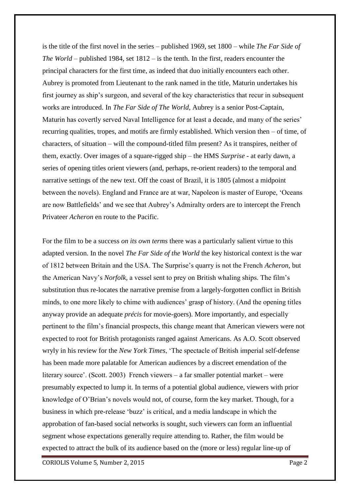is the title of the first novel in the series – published 1969, set 1800 – while *The Far Side of The World* – published 1984, set 1812 – is the tenth. In the first, readers encounter the principal characters for the first time, as indeed that duo initially encounters each other. Aubrey is promoted from Lieutenant to the rank named in the title, Maturin undertakes his first journey as ship's surgeon, and several of the key characteristics that recur in subsequent works are introduced. In *The Far Side of The World*, Aubrey is a senior Post-Captain, Maturin has covertly served Naval Intelligence for at least a decade, and many of the series' recurring qualities, tropes, and motifs are firmly established. Which version then – of time, of characters, of situation – will the compound-titled film present? As it transpires, neither of them, exactly. Over images of a square-rigged ship – the HMS *Surprise* - at early dawn, a series of opening titles orient viewers (and, perhaps, re-orient readers) to the temporal and narrative settings of the new text. Off the coast of Brazil, it is 1805 (almost a midpoint between the novels). England and France are at war, Napoleon is master of Europe, 'Oceans are now Battlefields' and we see that Aubrey's Admiralty orders are to intercept the French Privateer *Acheron* en route to the Pacific.

For the film to be a success *on its own terms* there was a particularly salient virtue to this adapted version. In the novel *The Far Side of the World* the key historical context is the war of 1812 between Britain and the USA. The Surprise's quarry is not the French *Acheron*, but the American Navy's *Norfolk,* a vessel sent to prey on British whaling ships. The film's substitution thus re-locates the narrative premise from a largely-forgotten conflict in British minds, to one more likely to chime with audiences' grasp of history. (And the opening titles anyway provide an adequate *précis* for movie-goers). More importantly, and especially pertinent to the film's financial prospects, this change meant that American viewers were not expected to root for British protagonists ranged against Americans. As A.O. Scott observed wryly in his review for the *New York Times*, 'The spectacle of British imperial self-defense has been made more palatable for American audiences by a discreet emendation of the literary source'. (Scott. 2003) French viewers – a far smaller potential market – were presumably expected to lump it. In terms of a potential global audience, viewers with prior knowledge of O'Brian's novels would not, of course, form the key market. Though, for a business in which pre-release 'buzz' is critical, and a media landscape in which the approbation of fan-based social networks is sought, such viewers can form an influential segment whose expectations generally require attending to. Rather, the film would be expected to attract the bulk of its audience based on the (more or less) regular line-up of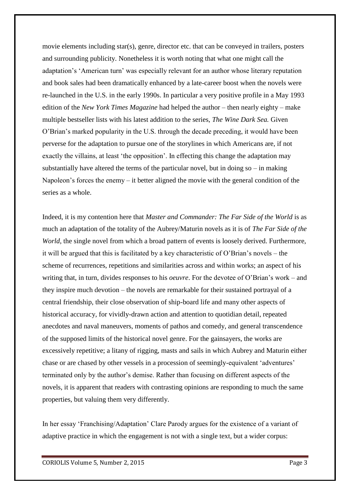movie elements including star(s), genre, director etc. that can be conveyed in trailers, posters and surrounding publicity. Nonetheless it is worth noting that what one might call the adaptation's 'American turn' was especially relevant for an author whose literary reputation and book sales had been dramatically enhanced by a late-career boost when the novels were re-launched in the U.S. in the early 1990s. In particular a very positive profile in a May 1993 edition of the *New York Times Magazine* had helped the author – then nearly eighty – make multiple bestseller lists with his latest addition to the series, *The Wine Dark Sea.* Given O'Brian's marked popularity in the U.S. through the decade preceding, it would have been perverse for the adaptation to pursue one of the storylines in which Americans are, if not exactly the villains, at least 'the opposition'. In effecting this change the adaptation may substantially have altered the terms of the particular novel, but in doing  $so - in$  making Napoleon's forces the enemy – it better aligned the movie with the general condition of the series as a whole.

Indeed, it is my contention here that *Master and Commander: The Far Side of the World* is as much an adaptation of the totality of the Aubrey/Maturin novels as it is of *The Far Side of the World*, the single novel from which a broad pattern of events is loosely derived. Furthermore, it will be argued that this is facilitated by a key characteristic of O'Brian's novels – the scheme of recurrences, repetitions and similarities across and within works; an aspect of his writing that, in turn, divides responses to his *oeuvre*. For the devotee of O'Brian's work – and they inspire much devotion – the novels are remarkable for their sustained portrayal of a central friendship, their close observation of ship-board life and many other aspects of historical accuracy, for vividly-drawn action and attention to quotidian detail, repeated anecdotes and naval maneuvers, moments of pathos and comedy, and general transcendence of the supposed limits of the historical novel genre. For the gainsayers, the works are excessively repetitive; a litany of rigging, masts and sails in which Aubrey and Maturin either chase or are chased by other vessels in a procession of seemingly-equivalent 'adventures' terminated only by the author's demise. Rather than focusing on different aspects of the novels, it is apparent that readers with contrasting opinions are responding to much the same properties, but valuing them very differently.

In her essay 'Franchising/Adaptation' Clare Parody argues for the existence of a variant of adaptive practice in which the engagement is not with a single text, but a wider corpus: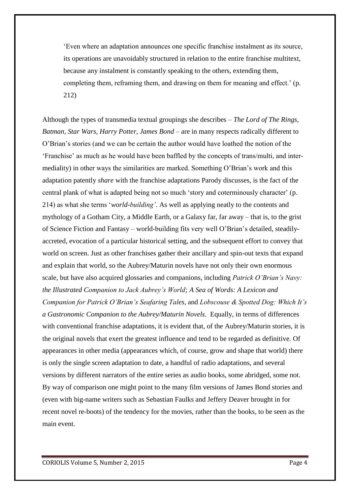'Even where an adaptation announces one specific franchise instalment as its source, its operations are unavoidably structured in relation to the entire franchise multitext, because any instalment is constantly speaking to the others, extending them, completing them, reframing them, and drawing on them for meaning and effect.' (p. 212)

Although the types of transmedia textual groupings she describes – *The Lord of The Rings, Batman, Star Wars, Harry Potter, James Bond –* are in many respects radically different to O'Brian's stories (and we can be certain the author would have loathed the notion of the 'Franchise' as much as he would have been baffled by the concepts of trans/multi, and intermediality) in other ways the similarities are marked. Something O'Brian's work and this adaptation patently *share* with the franchise adaptations Parody discusses, is the fact of the central plank of what is adapted being not so much 'story and coterminously character' (p. 214) as what she terms '*world-building'*. As well as applying neatly to the contents and mythology of a Gotham City, a Middle Earth, or a Galaxy far, far away – that is, to the grist of Science Fiction and Fantasy – world-building fits very well O'Brian's detailed, steadilyaccreted, evocation of a particular historical setting, and the subsequent effort to convey that world on screen. Just as other franchises gather their ancillary and spin-out texts that expand and explain that world, so the Aubrey/Maturin novels have not only their own enormous scale, but have also acquired glossaries and companions, including *Patrick O'Brian's Navy: the Illustrated Companion to Jack Aubrey's World; A Sea of Words: A Lexicon and Companion for Patrick O'Brian's Seafaring Tales,* and *Lobscouse & Spotted Dog: Which It's a Gastronomic Companion to the Aubrey/Maturin Novels.* Equally, in terms of differences with conventional franchise adaptations, it is evident that, of the Aubrey/Maturin stories, it is the original novels that exert the greatest influence and tend to be regarded as definitive. Of appearances in other media (appearances which, of course, grow and shape that world) there is only the single screen adaptation to date, a handful of radio adaptations, and several versions by different narrators of the entire series as audio books, some abridged, some not. By way of comparison one might point to the many film versions of James Bond stories and (even with big-name writers such as Sebastian Faulks and Jeffery Deaver brought in for recent novel re-boots) of the tendency for the movies, rather than the books, to be seen as the main event.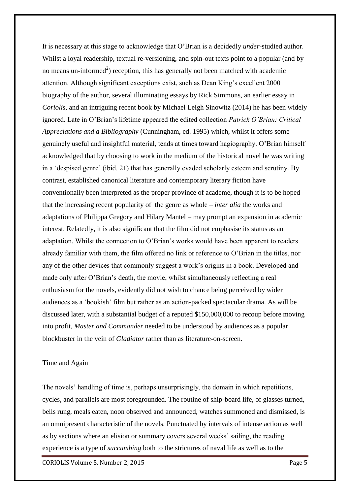It is necessary at this stage to acknowledge that O'Brian is a decidedly *under*-studied author. Whilst a loyal readership, textual re-versioning, and spin-out texts point to a popular (and by no means un-informed<sup>2</sup>) reception, this has generally not been matched with academic attention. Although significant exceptions exist, such as Dean King's excellent 2000 biography of the author, several illuminating essays by Rick Simmons, an earlier essay in *Coriolis,* and an intriguing recent book by Michael Leigh Sinowitz (2014) he has been widely ignored. Late in O'Brian's lifetime appeared the edited collection *Patrick O'Brian: Critical Appreciations and a Bibliography* (Cunningham, ed. 1995) which, whilst it offers some genuinely useful and insightful material, tends at times toward hagiography. O'Brian himself acknowledged that by choosing to work in the medium of the historical novel he was writing in a 'despised genre' (ibid. 21) that has generally evaded scholarly esteem and scrutiny. By contrast, established canonical literature and contemporary literary fiction have conventionally been interpreted as the proper province of academe, though it is to be hoped that the increasing recent popularity of the genre as whole – *inter alia* the works and adaptations of Philippa Gregory and Hilary Mantel – may prompt an expansion in academic interest. Relatedly, it is also significant that the film did not emphasise its status as an adaptation. Whilst the connection to O'Brian's works would have been apparent to readers already familiar with them, the film offered no link or reference to O'Brian in the titles, nor any of the other devices that commonly suggest a work's origins in a book. Developed and made only after O'Brian's death, the movie, whilst simultaneously reflecting a real enthusiasm for the novels, evidently did not wish to chance being perceived by wider audiences as a 'bookish' film but rather as an action-packed spectacular drama. As will be discussed later, with a substantial budget of a reputed \$150,000,000 to recoup before moving into profit, *Master and Commander* needed to be understood by audiences as a popular blockbuster in the vein of *Gladiator* rather than as literature-on-screen.

## Time and Again

The novels' handling of time is, perhaps unsurprisingly, the domain in which repetitions, cycles, and parallels are most foregrounded. The routine of ship-board life, of glasses turned, bells rung, meals eaten, noon observed and announced, watches summoned and dismissed, is an omnipresent characteristic of the novels. Punctuated by intervals of intense action as well as by sections where an elision or summary covers several weeks' sailing, the reading experience is a type of *succumbing* both to the strictures of naval life as well as to the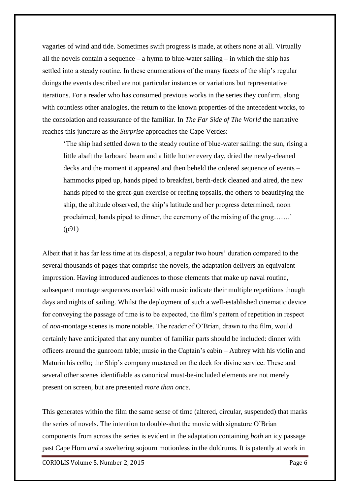vagaries of wind and tide. Sometimes swift progress is made, at others none at all. Virtually all the novels contain a sequence – a hymn to blue-water sailing – in which the ship has settled into a steady routine. In these enumerations of the many facets of the ship's regular doings the events described are not particular instances or variations but representative iterations. For a reader who has consumed previous works in the series they confirm, along with countless other analogies, the return to the known properties of the antecedent works, to the consolation and reassurance of the familiar. In *The Far Side of The World* the narrative reaches this juncture as the *Surprise* approaches the Cape Verdes:

'The ship had settled down to the steady routine of blue-water sailing: the sun, rising a little abaft the larboard beam and a little hotter every day, dried the newly-cleaned decks and the moment it appeared and then beheld the ordered sequence of events – hammocks piped up, hands piped to breakfast, berth-deck cleaned and aired, the new hands piped to the great-gun exercise or reefing topsails, the others to beautifying the ship, the altitude observed, the ship's latitude and her progress determined, noon proclaimed, hands piped to dinner, the ceremony of the mixing of the grog…….' (p91)

Albeit that it has far less time at its disposal, a regular two hours' duration compared to the several thousands of pages that comprise the novels, the adaptation delivers an equivalent impression. Having introduced audiences to those elements that make up naval routine, subsequent montage sequences overlaid with music indicate their multiple repetitions though days and nights of sailing. Whilst the deployment of such a well-established cinematic device for conveying the passage of time is to be expected, the film's pattern of repetition in respect of *non*-montage scenes is more notable. The reader of O'Brian, drawn to the film, would certainly have anticipated that any number of familiar parts should be included: dinner with officers around the gunroom table; music in the Captain's cabin – Aubrey with his violin and Maturin his cello; the Ship's company mustered on the deck for divine service. These and several other scenes identifiable as canonical must-be-included elements are not merely present on screen, but are presented *more than once*.

This generates within the film the same sense of time (altered, circular, suspended) that marks the series of novels. The intention to double-shot the movie with signature O'Brian components from across the series is evident in the adaptation containing *both* an icy passage past Cape Horn *and* a sweltering sojourn motionless in the doldrums. It is patently at work in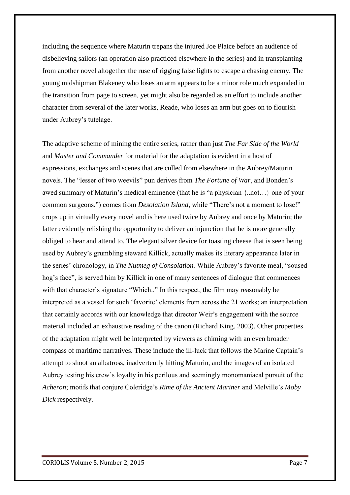including the sequence where Maturin trepans the injured Joe Plaice before an audience of disbelieving sailors (an operation also practiced elsewhere in the series) and in transplanting from another novel altogether the ruse of rigging false lights to escape a chasing enemy. The young midshipman Blakeney who loses an arm appears to be a minor role much expanded in the transition from page to screen, yet might also be regarded as an effort to include another character from several of the later works, Reade, who loses an arm but goes on to flourish under Aubrey's tutelage.

The adaptive scheme of mining the entire series, rather than just *The Far Side of the World*  and *Master and Commander* for material for the adaptation is evident in a host of expressions, exchanges and scenes that are culled from elsewhere in the Aubrey/Maturin novels. The "lesser of two weevils" pun derives from *The Fortune of War*, and Bonden's awed summary of Maturin's medical eminence (that he is "a physician {..not…} one of your common surgeons.") comes from *Desolation Island*, while "There's not a moment to lose!" crops up in virtually every novel and is here used twice by Aubrey and once by Maturin; the latter evidently relishing the opportunity to deliver an injunction that he is more generally obliged to hear and attend to. The elegant silver device for toasting cheese that is seen being used by Aubrey's grumbling steward Killick, actually makes its literary appearance later in the series' chronology, in *The Nutmeg of Consolation.* While Aubrey's favorite meal, "soused hog's face", is served him by Killick in one of many sentences of dialogue that commences with that character's signature "Which.." In this respect, the film may reasonably be interpreted as a vessel for such 'favorite' elements from across the 21 works; an interpretation that certainly accords with our knowledge that director Weir's engagement with the source material included an exhaustive reading of the canon (Richard King. 2003). Other properties of the adaptation might well be interpreted by viewers as chiming with an even broader compass of maritime narratives. These include the ill-luck that follows the Marine Captain's attempt to shoot an albatross, inadvertently hitting Maturin, and the images of an isolated Aubrey testing his crew's loyalty in his perilous and seemingly monomaniacal pursuit of the *Acheron*; motifs that conjure Coleridge's *Rime of the Ancient Mariner* and Melville's *Moby Dick* respectively.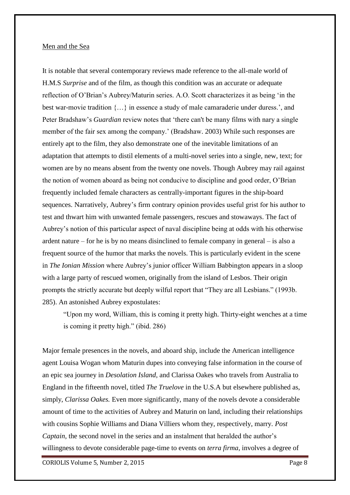#### Men and the Sea

It is notable that several contemporary reviews made reference to the all-male world of H.M.S *Surprise* and of the film, as though this condition was an accurate or adequate reflection of O'Brian's Aubrey/Maturin series. A.O. Scott characterizes it as being 'in the best war-movie tradition {…} in essence a study of male camaraderie under duress.', and Peter Bradshaw's *Guardian* review notes that 'there can't be many films with nary a single member of the fair sex among the company.' (Bradshaw. 2003) While such responses are entirely apt to the film, they also demonstrate one of the inevitable limitations of an adaptation that attempts to distil elements of a multi-novel series into a single, new, text; for women are by no means absent from the twenty one novels. Though Aubrey may rail against the notion of women aboard as being not conducive to discipline and good order, O'Brian frequently included female characters as centrally-important figures in the ship-board sequences. Narratively, Aubrey's firm contrary opinion provides useful grist for his author to test and thwart him with unwanted female passengers, rescues and stowaways. The fact of Aubrey's notion of this particular aspect of naval discipline being at odds with his otherwise ardent nature – for he is by no means disinclined to female company in general – is also a frequent source of the humor that marks the novels. This is particularly evident in the scene in *The Ionian Mission* where Aubrey's junior officer William Babbington appears in a sloop with a large party of rescued women, originally from the island of Lesbos. Their origin prompts the strictly accurate but deeply wilful report that "They are all Lesbians." (1993b. 285). An astonished Aubrey expostulates:

"Upon my word, William, this is coming it pretty high. Thirty-eight wenches at a time is coming it pretty high." (ibid. 286)

Major female presences in the novels, and aboard ship, include the American intelligence agent Louisa Wogan whom Maturin dupes into conveying false information in the course of an epic sea journey in *Desolation Island,* and Clarissa Oakes who travels from Australia to England in the fifteenth novel, titled *The Truelove* in the U.S.A but elsewhere published as, simply, *Clarissa Oakes.* Even more significantly, many of the novels devote a considerable amount of time to the activities of Aubrey and Maturin on land, including their relationships with cousins Sophie Williams and Diana Villiers whom they, respectively, marry. *Post Captain*, the second novel in the series and an instalment that heralded the author's willingness to devote considerable page-time to events on *terra firma*, involves a degree of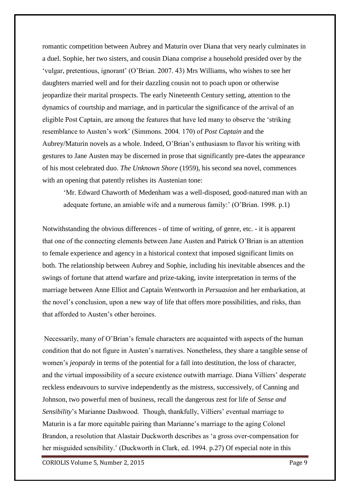romantic competition between Aubrey and Maturin over Diana that very nearly culminates in a duel. Sophie, her two sisters, and cousin Diana comprise a household presided over by the 'vulgar, pretentious, ignorant' (O'Brian. 2007. 43) Mrs Williams, who wishes to see her daughters married well and for their dazzling cousin not to poach upon or otherwise jeopardize their marital prospects. The early Nineteenth Century setting, attention to the dynamics of courtship and marriage, and in particular the significance of the arrival of an eligible Post Captain, are among the features that have led many to observe the 'striking resemblance to Austen's work' (Simmons. 2004. 170) of *Post Captain* and the Aubrey/Maturin novels as a whole. Indeed, O'Brian's enthusiasm to flavor his writing with gestures to Jane Austen may be discerned in prose that significantly pre-dates the appearance of his most celebrated duo. *The Unknown Shore* (1959), his second sea novel, commences with an opening that patently relishes its Austenian tone:

'Mr. Edward Chaworth of Medenham was a well-disposed, good-natured man with an adequate fortune, an amiable wife and a numerous family:' (O'Brian. 1998. p.1)

Notwithstanding the obvious differences - of time of writing, of genre, etc. - it is apparent that one of the connecting elements between Jane Austen and Patrick O'Brian is an attention to female experience and agency in a historical context that imposed significant limits on both. The relationship between Aubrey and Sophie, including his inevitable absences and the swings of fortune that attend warfare and prize-taking, invite interpretation in terms of the marriage between Anne Elliot and Captain Wentworth in *Persuasion* and her embarkation, at the novel's conclusion, upon a new way of life that offers more possibilities, and risks, than that afforded to Austen's other heroines.

Necessarily, many of O'Brian's female characters are acquainted with aspects of the human condition that do not figure in Austen's narratives. Nonetheless, they share a tangible sense of women's *jeopardy* in terms of the potential for a fall into destitution, the loss of character, and the virtual impossibility of a secure existence outwith marriage. Diana Villiers' desperate reckless endeavours to survive independently as the mistress, successively, of Canning and Johnson, two powerful men of business, recall the dangerous zest for life of *Sense and Sensibility*'s Marianne Dashwood. Though, thankfully, Villiers' eventual marriage to Maturin is a far more equitable pairing than Marianne's marriage to the aging Colonel Brandon, a resolution that Alastair Duckworth describes as 'a gross over-compensation for her misguided sensibility.' (Duckworth in Clark, ed. 1994. p.27) Of especial note in this

CORIOLIS Volume 5, Number 2, 2015 Page 9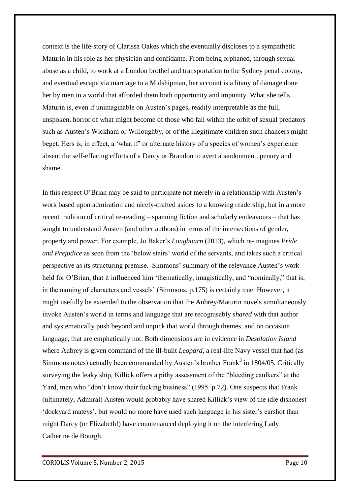context is the life-story of Clarissa Oakes which she eventually discloses to a sympathetic Maturin in his role as her physician and confidante. From being orphaned, through sexual abuse as a child, to work at a London brothel and transportation to the Sydney penal colony, and eventual escape via marriage to a Midshipman, her account is a litany of damage done her by men in a world that afforded them both opportunity and impunity. What she tells Maturin is, even if unimaginable on Austen's pages, readily interpretable as the full, unspoken, horror of what might become of those who fall within the orbit of sexual predators such as Austen's Wickham or Willoughby, or of the illegitimate children such chancers might beget. Hers is, in effect, a 'what if' or alternate history of a species of women's experience absent the self-effacing efforts of a Darcy or Brandon to avert abandonment, penury and shame.

In this respect O'Brian may be said to participate not merely in a relationship with Austen's work based upon admiration and nicely-crafted asides to a knowing readership, but in a more recent tradition of critical re-reading – spanning fiction and scholarly endeavours – that has sought to understand Austen (and other authors) in terms of the intersections of gender, property and power. For example, Jo Baker's *Longbourn* (2013), which re-imagines *Pride and Prejudice* as seen from the 'below stairs' world of the servants, and takes such a critical perspective as its structuring premise. Simmons' summary of the relevance Austen's work held for O'Brian, that it influenced him 'thematically, imagistically, and "nominally," that is, in the naming of characters and vessels' (Simmons. p.175) is certainly true. However, it might usefully be extended to the observation that the Aubrey/Maturin novels simultaneously invoke Austen's world in terms and language that are recognisably *shared* with that author and systematically push beyond and unpick that world through themes, and on occasion language, that are emphatically not. Both dimensions are in evidence in *Desolation Island*  where Aubrey is given command of the ill-built *Leopard,* a real-life Navy vessel that had (as Simmons notes) actually been commanded by Austen's brother Frank $3$  in 1804/05. Critically surveying the leaky ship, Killick offers a pithy assessment of the "bleeding caulkers" at the Yard, men who "don't know their fucking business" (1995. p.72). One suspects that Frank (ultimately, Admiral) Austen would probably have shared Killick's view of the idle dishonest 'dockyard mateys', but would no more have used such language in his sister's earshot than might Darcy (or Elizabeth!) have countenanced deploying it on the interfering Lady Catherine de Bourgh.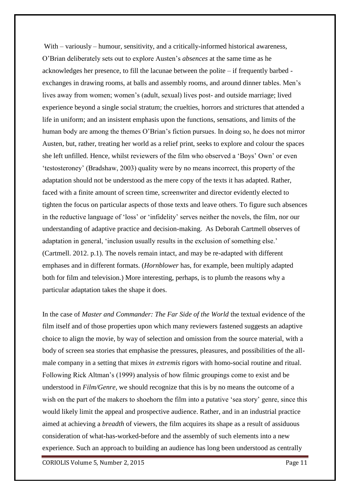With – variously – humour, sensitivity, and a critically-informed historical awareness, O'Brian deliberately sets out to explore Austen's *absences* at the same time as he acknowledges her presence, to fill the lacunae between the polite – if frequently barbed exchanges in drawing rooms, at balls and assembly rooms, and around dinner tables. Men's lives away from women; women's (adult, sexual) lives post- and outside marriage; lived experience beyond a single social stratum; the cruelties, horrors and strictures that attended a life in uniform; and an insistent emphasis upon the functions, sensations, and limits of the human body are among the themes O'Brian's fiction pursues. In doing so, he does not mirror Austen, but, rather, treating her world as a relief print, seeks to explore and colour the spaces she left unfilled. Hence, whilst reviewers of the film who observed a 'Boys' Own' or even 'testosteroney' (Bradshaw, 2003) quality were by no means incorrect, this property of the adaptation should not be understood as the mere copy of the texts it has adapted. Rather, faced with a finite amount of screen time, screenwriter and director evidently elected to tighten the focus on particular aspects of those texts and leave others. To figure such absences in the reductive language of 'loss' or 'infidelity' serves neither the novels, the film, nor our understanding of adaptive practice and decision-making. As Deborah Cartmell observes of adaptation in general, 'inclusion usually results in the exclusion of something else.' (Cartmell. 2012. p.1). The novels remain intact, and may be re-adapted with different emphases and in different formats. (*Hornblower* has, for example, been multiply adapted both for film and television.) More interesting, perhaps, is to plumb the reasons why a particular adaptation takes the shape it does.

In the case of *Master and Commander: The Far Side of the World* the textual evidence of the film itself and of those properties upon which many reviewers fastened suggests an adaptive choice to align the movie, by way of selection and omission from the source material, with a body of screen sea stories that emphasise the pressures, pleasures, and possibilities of the allmale company in a setting that mixes *in extremis* rigors with homo-social routine and ritual. Following Rick Altman's (1999) analysis of how filmic groupings come to exist and be understood in *Film/Genre,* we should recognize that this is by no means the outcome of a wish on the part of the makers to shoehorn the film into a putative 'sea story' genre, since this would likely limit the appeal and prospective audience. Rather, and in an industrial practice aimed at achieving a *breadth* of viewers, the film acquires its shape as a result of assiduous consideration of what-has-worked-before and the assembly of such elements into a new experience. Such an approach to building an audience has long been understood as centrally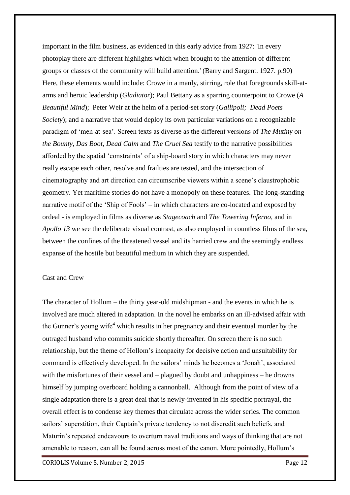important in the film business, as evidenced in this early advice from 1927: 'In every photoplay there are different highlights which when brought to the attention of different groups or classes of the community will build attention.' (Barry and Sargent. 1927. p.90) Here, these elements would include: Crowe in a manly, stirring, role that foregrounds skill-atarms and heroic leadership (*Gladiator*); Paul Bettany as a sparring counterpoint to Crowe (*A Beautiful Mind*); Peter Weir at the helm of a period-set story (*Gallipoli; Dead Poets Society*); and a narrative that would deploy its own particular variations on a recognizable paradigm of 'men-at-sea'. Screen texts as diverse as the different versions of *The Mutiny on the Bounty, Das Boot, Dead Calm* and *The Cruel Sea* testify to the narrative possibilities afforded by the spatial 'constraints' of a ship-board story in which characters may never really escape each other, resolve and frailties are tested, and the intersection of cinematography and art direction can circumscribe viewers within a scene's claustrophobic geometry. Yet maritime stories do not have a monopoly on these features. The long-standing narrative motif of the 'Ship of Fools' – in which characters are co-located and exposed by ordeal - is employed in films as diverse as *Stagecoach* and *The Towering Inferno*, and in *Apollo 13* we see the deliberate visual contrast, as also employed in countless films of the sea, between the confines of the threatened vessel and its harried crew and the seemingly endless expanse of the hostile but beautiful medium in which they are suspended.

#### Cast and Crew

The character of Hollum – the thirty year-old midshipman - and the events in which he is involved are much altered in adaptation. In the novel he embarks on an ill-advised affair with the Gunner's young wife<sup>4</sup> which results in her pregnancy and their eventual murder by the outraged husband who commits suicide shortly thereafter. On screen there is no such relationship, but the theme of Hollom's incapacity for decisive action and unsuitability for command is effectively developed. In the sailors' minds he becomes a 'Jonah', associated with the misfortunes of their vessel and – plagued by doubt and unhappiness – he drowns himself by jumping overboard holding a cannonball. Although from the point of view of a single adaptation there is a great deal that is newly-invented in his specific portrayal, the overall effect is to condense key themes that circulate across the wider series. The common sailors' superstition, their Captain's private tendency to not discredit such beliefs, and Maturin's repeated endeavours to overturn naval traditions and ways of thinking that are not amenable to reason, can all be found across most of the canon. More pointedly, Hollum's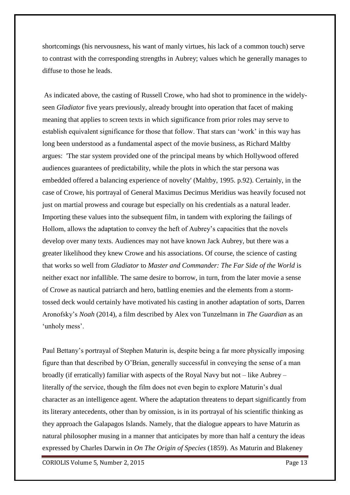shortcomings (his nervousness, his want of manly virtues, his lack of a common touch) serve to contrast with the corresponding strengths in Aubrey; values which he generally manages to diffuse to those he leads.

As indicated above, the casting of Russell Crowe, who had shot to prominence in the widelyseen *Gladiator* five years previously, already brought into operation that facet of making meaning that applies to screen texts in which significance from prior roles may serve to establish equivalent significance for those that follow. That stars can 'work' in this way has long been understood as a fundamental aspect of the movie business, as Richard Maltby argues: 'The star system provided one of the principal means by which Hollywood offered audiences guarantees of predictability, while the plots in which the star persona was embedded offered a balancing experience of novelty' (Maltby, 1995. p.92). Certainly, in the case of Crowe, his portrayal of General Maximus Decimus Meridius was heavily focused not just on martial prowess and courage but especially on his credentials as a natural leader. Importing these values into the subsequent film, in tandem with exploring the failings of Hollom, allows the adaptation to convey the heft of Aubrey's capacities that the novels develop over many texts. Audiences may not have known Jack Aubrey, but there was a greater likelihood they knew Crowe and his associations. Of course, the science of casting that works so well from *Gladiator* to *Master and Commander: The Far Side of the World* is neither exact nor infallible. The same desire to borrow, in turn, from the later movie a sense of Crowe as nautical patriarch and hero, battling enemies and the elements from a stormtossed deck would certainly have motivated his casting in another adaptation of sorts, Darren Aronofsky's *Noah* (2014), a film described by Alex von Tunzelmann in *The Guardian* as an 'unholy mess'.

Paul Bettany's portrayal of Stephen Maturin is, despite being a far more physically imposing figure than that described by O'Brian, generally successful in conveying the sense of a man broadly (if erratically) familiar with aspects of the Royal Navy but not – like Aubrey – literally *of* the service, though the film does not even begin to explore Maturin's dual character as an intelligence agent. Where the adaptation threatens to depart significantly from its literary antecedents, other than by omission, is in its portrayal of his scientific thinking as they approach the Galapagos Islands. Namely, that the dialogue appears to have Maturin as natural philosopher musing in a manner that anticipates by more than half a century the ideas expressed by Charles Darwin in *On The Origin of Species* (1859). As Maturin and Blakeney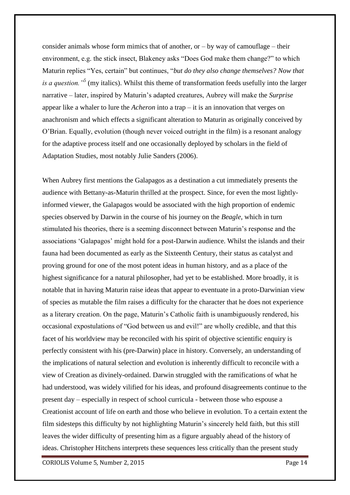consider animals whose form mimics that of another, or  $-$  by way of camouflage  $-$  their environment, e.g. the stick insect, Blakeney asks "Does God make them change?" to which Maturin replies "Yes, certain" but continues, "*but do they also change themselves? Now that is a question."<sup>5</sup>* (my italics). Whilst this theme of transformation feeds usefully into the larger narrative – later, inspired by Maturin's adapted creatures, Aubrey will make the *Surprise* appear like a whaler to lure the *Acheron* into a trap – it is an innovation that verges on anachronism and which effects a significant alteration to Maturin as originally conceived by O'Brian. Equally, evolution (though never voiced outright in the film) is a resonant analogy for the adaptive process itself and one occasionally deployed by scholars in the field of Adaptation Studies, most notably Julie Sanders (2006).

When Aubrey first mentions the Galapagos as a destination a cut immediately presents the audience with Bettany-as-Maturin thrilled at the prospect. Since, for even the most lightlyinformed viewer, the Galapagos would be associated with the high proportion of endemic species observed by Darwin in the course of his journey on the *Beagle*, which in turn stimulated his theories, there is a seeming disconnect between Maturin's response and the associations 'Galapagos' might hold for a post-Darwin audience. Whilst the islands and their fauna had been documented as early as the Sixteenth Century, their status as catalyst and proving ground for one of the most potent ideas in human history, and as a place of the highest significance for a natural philosopher, had yet to be established. More broadly, it is notable that in having Maturin raise ideas that appear to eventuate in a proto-Darwinian view of species as mutable the film raises a difficulty for the character that he does not experience as a literary creation. On the page, Maturin's Catholic faith is unambiguously rendered, his occasional expostulations of "God between us and evil!" are wholly credible, and that this facet of his worldview may be reconciled with his spirit of objective scientific enquiry is perfectly consistent with his (pre-Darwin) place in history. Conversely, an understanding of the implications of natural selection and evolution is inherently difficult to reconcile with a view of Creation as divinely-ordained. Darwin struggled with the ramifications of what he had understood, was widely vilified for his ideas, and profound disagreements continue to the present day – especially in respect of school curricula - between those who espouse a Creationist account of life on earth and those who believe in evolution. To a certain extent the film sidesteps this difficulty by not highlighting Maturin's sincerely held faith, but this still leaves the wider difficulty of presenting him as a figure arguably ahead of the history of ideas. Christopher Hitchens interprets these sequences less critically than the present study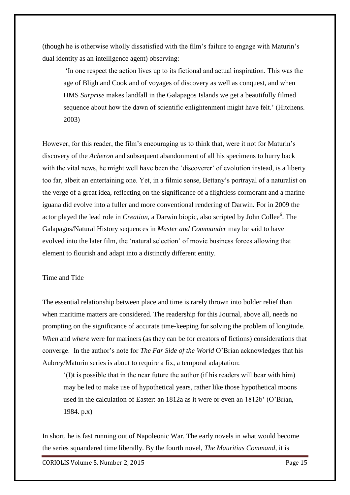(though he is otherwise wholly dissatisfied with the film's failure to engage with Maturin's dual identity as an intelligence agent) observing:

'In one respect the action lives up to its fictional and actual inspiration. This was the age of Bligh and Cook and of voyages of discovery as well as conquest, and when HMS *Surprise* makes landfall in the Galapagos Islands we get a beautifully filmed sequence about how the dawn of scientific enlightenment might have felt.' (Hitchens. 2003)

However, for this reader, the film's encouraging us to think that, were it not for Maturin's discovery of the *Acheron* and subsequent abandonment of all his specimens to hurry back with the vital news, he might well have been the 'discoverer' of evolution instead, is a liberty too far, albeit an entertaining one. Yet, in a filmic sense, Bettany's portrayal of a naturalist on the verge of a great idea, reflecting on the significance of a flightless cormorant and a marine iguana did evolve into a fuller and more conventional rendering of Darwin. For in 2009 the actor played the lead role in *Creation*, a Darwin biopic, also scripted by John Collee<sup>6</sup>. The Galapagos/Natural History sequences in *Master and Commander* may be said to have evolved into the later film, the 'natural selection' of movie business forces allowing that element to flourish and adapt into a distinctly different entity.

## Time and Tide

The essential relationship between place and time is rarely thrown into bolder relief than when maritime matters are considered. The readership for this Journal, above all, needs no prompting on the significance of accurate time-keeping for solving the problem of longitude. *When* and *where* were for mariners (as they can be for creators of fictions) considerations that converge. In the author's note for *The Far Side of the World* O'Brian acknowledges that his Aubrey/Maturin series is about to require a fix, a temporal adaptation:

'(I)t is possible that in the near future the author (if his readers will bear with him) may be led to make use of hypothetical years, rather like those hypothetical moons used in the calculation of Easter: an 1812a as it were or even an 1812b' (O'Brian, 1984. p.x)

In short, he is fast running out of Napoleonic War. The early novels in what would become the series squandered time liberally. By the fourth novel, *The Mauritius Command,* it is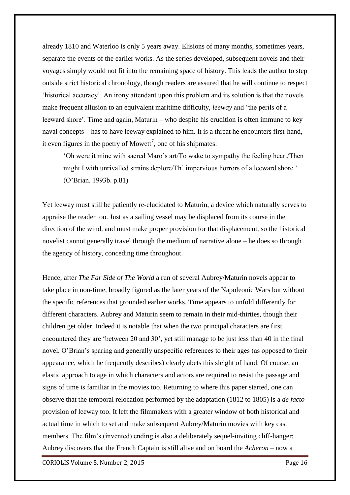already 1810 and Waterloo is only 5 years away. Elisions of many months, sometimes years, separate the events of the earlier works. As the series developed, subsequent novels and their voyages simply would not fit into the remaining space of history. This leads the author to step outside strict historical chronology, though readers are assured that he will continue to respect 'historical accuracy'. An irony attendant upon this problem and its solution is that the novels make frequent allusion to an equivalent maritime difficulty, *leeway* and 'the perils of a leeward shore'. Time and again, Maturin – who despite his erudition is often immune to key naval concepts – has to have leeway explained to him. It is a threat he encounters first-hand, it even figures in the poetry of Mowett<sup>7</sup>, one of his shipmates:

'Oh were it mine with sacred Maro's art/To wake to sympathy the feeling heart/Then might I with unrivalled strains deplore/Th' impervious horrors of a leeward shore.' (O'Brian. 1993b. p.81)

Yet leeway must still be patiently re-elucidated to Maturin, a device which naturally serves to appraise the reader too. Just as a sailing vessel may be displaced from its course in the direction of the wind, and must make proper provision for that displacement, so the historical novelist cannot generally travel through the medium of narrative alone – he does so through the agency of history, conceding time throughout.

Hence, after *The Far Side of The World* a run of several Aubrey/Maturin novels appear to take place in non-time, broadly figured as the later years of the Napoleonic Wars but without the specific references that grounded earlier works. Time appears to unfold differently for different characters. Aubrey and Maturin seem to remain in their mid-thirties, though their children get older. Indeed it is notable that when the two principal characters are first encountered they are 'between 20 and 30', yet still manage to be just less than 40 in the final novel. O'Brian's sparing and generally unspecific references to their ages (as opposed to their appearance, which he frequently describes) clearly abets this sleight of hand. Of course, an elastic approach to age in which characters and actors are required to resist the passage and signs of time is familiar in the movies too. Returning to where this paper started, one can observe that the temporal relocation performed by the adaptation (1812 to 1805) is a *de facto* provision of leeway too. It left the filmmakers with a greater window of both historical and actual time in which to set and make subsequent Aubrey/Maturin movies with key cast members. The film's (invented) ending is also a deliberately sequel-inviting cliff-hanger; Aubrey discovers that the French Captain is still alive and on board the *Acheron* – now a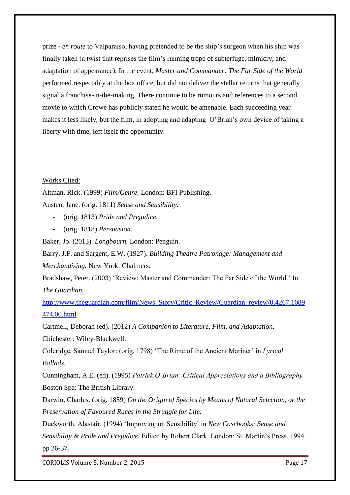prize - *en route* to Valparaiso, having pretended to be the ship's surgeon when his ship was finally taken (a twist that reprises the film's running trope of subterfuge, mimicry, and adaptation of appearance). In the event, *Master and Commander: The Far Side of the World*  performed respectably at the box office, but did not deliver the stellar returns that generally signal a franchise-in-the-making. There continue to be rumours and references to a second movie to which Crowe has publicly stated he would be amenable. Each succeeding year makes it less likely, but the film, in adopting and adapting O'Brian's own device of taking a liberty with time, left itself the opportunity.

# Works Cited:

Altman, Rick. (1999) *Film/Genre.* London: BFI Publishing. Austen, Jane. (orig. 1811) *Sense and Sensibility.*

- (orig. 1813) *Pride and Prejudice.*
- (orig. 1818) *Persuasion.*

Baker, Jo. (2013). *Longbourn.* London: Penguin.

Barry, J.F. and Sargent, E.W. (1927). *Building Theatre Patronage: Management and Merchandising.* New York: Chalmers.

Bradshaw, Peter. (2003) 'Review: Master and Commander: The Far Side of the World.' In *The Guardian.*

[http://www.theguardian.com/film/News\\_Story/Critic\\_Review/Guardian\\_review/0,4267,1089](http://www.theguardian.com/film/News_Story/Critic_Review/Guardian_review/0,4267,1089474,00.html) [474,00.html](http://www.theguardian.com/film/News_Story/Critic_Review/Guardian_review/0,4267,1089474,00.html)

Cartmell, Deborah (ed). (2012) *A Companion to Literature, Film, and Adaptation.*  Chichester: Wiley-Blackwell.

Coleridge, Samuel Taylor: (orig. 1798) 'The Rime of the Ancient Mariner' in *Lyrical Ballads.*

Cunningham, A.E. (ed). (1995) *Patrick O'Brian: Critical Appreciations and a Bibliography.*  Boston Spa: The British Library.

Darwin, Charles. (orig. 1859) *On the Origin of Species by Means of Natural Selection, or the Preservation of Favoured Races in the Struggle for Life.*

Duckworth, Alastair. (1994) 'Improving on Sensibility' in *New Casebooks: Sense and Sensibility & Pride and Prejudice.* Edited by Robert Clark. London: St. Martin's Press. 1994. pp 26-37.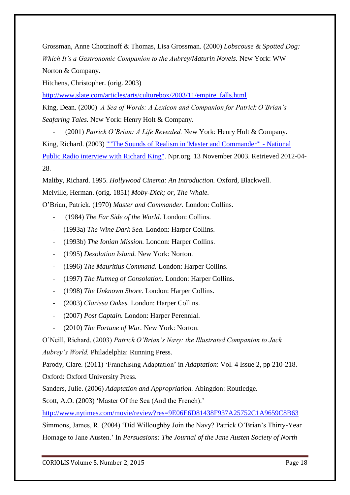Grossman, Anne Chotzinoff & Thomas, Lisa Grossman. (2000) *Lobscouse & Spotted Dog: Which It's a Gastronomic Companion to the Aubrey/Maturin Novels.* New York: WW Norton & Company.

Hitchens, Christopher. (orig. 2003)

[http://www.slate.com/articles/arts/culturebox/2003/11/empire\\_falls.html](http://www.slate.com/articles/arts/culturebox/2003/11/empire_falls.html)

King, Dean. (2000) *A Sea of Words: A Lexicon and Companion for Patrick O'Brian's Seafaring Tales.* New York: Henry Holt & Company.

- (2001) *Patrick O'Brian: A Life Revealed.* New York: Henry Holt & Company. King, Richard. (2003) [""The Sounds of Realism in 'Master and Commander'" -](http://www.npr.org/templates/story/story.php?storyId=1505241) National [Public Radio interview with Richard King".](http://www.npr.org/templates/story/story.php?storyId=1505241) Npr.org. 13 November 2003. Retrieved 2012-04- 28.

Maltby, Richard. 1995. *Hollywood Cinema: An Introduction.* Oxford, Blackwell. Melville, Herman. (orig. 1851) *Moby-Dick; or, The Whale.*

O'Brian, Patrick. (1970) *Master and Commander.* London: Collins.

- (1984) *The Far Side of the World.* London: Collins.
- (1993a) *The Wine Dark Sea.* London: Harper Collins.
- (1993b) *The Ionian Mission.* London: Harper Collins.
- (1995) *Desolation Island.* New York: Norton.
- (1996) *The Mauritius Command.* London: Harper Collins.
- (1997) *The Nutmeg of Consolation.* London: Harper Collins.
- (1998) *The Unknown Shore.* London: Harper Collins.
- (2003) *Clarissa Oakes.* London: Harper Collins.
- (2007) *Post Captain.* London: Harper Perennial.
- (2010) *The Fortune of War.* New York: Norton.

O'Neill, Richard. (2003) *Patrick O'Brian's Navy: the Illustrated Companion to Jack Aubrey's World.* Philadelphia: Running Press.

Parody, Clare. (2011) 'Franchising Adaptation' in *Adaptation*: Vol. 4 Issue 2, pp 210-218.

Oxford: Oxford University Press.

Sanders, Julie. (2006) *Adaptation and Appropriation.* Abingdon: Routledge.

Scott, A.O. (2003) 'Master Of the Sea (And the French).'

<http://www.nytimes.com/movie/review?res=9E06E6D81438F937A25752C1A9659C8B63>

Simmons, James, R. (2004) 'Did Willoughby Join the Navy? Patrick O'Brian's Thirty-Year Homage to Jane Austen.' In *Persuasions: The Journal of the Jane Austen Society of North*